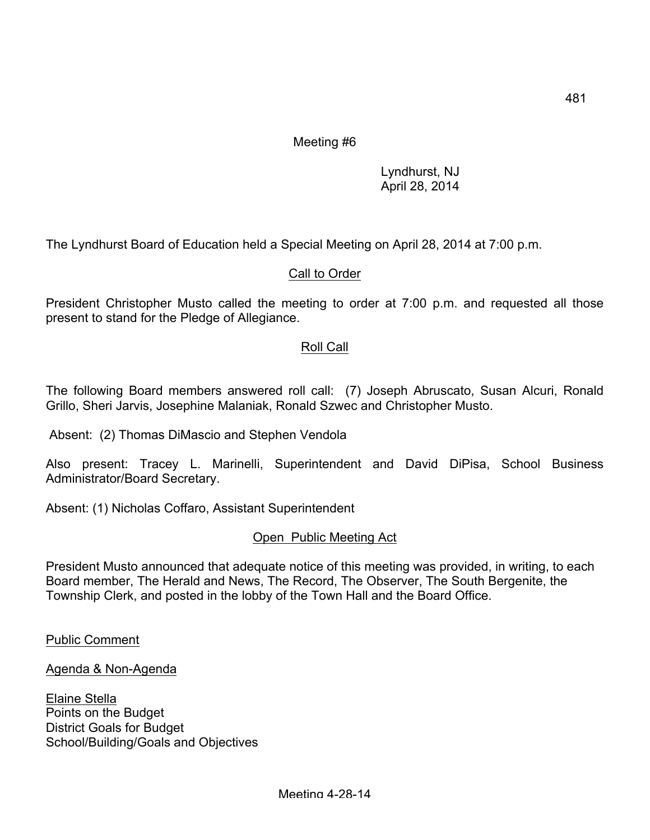## Meeting #6

Lyndhurst, NJ April 28, 2014

The Lyndhurst Board of Education held a Special Meeting on April 28, 2014 at 7:00 p.m.

## Call to Order

President Christopher Musto called the meeting to order at 7:00 p.m. and requested all those present to stand for the Pledge of Allegiance.

## Roll Call

The following Board members answered roll call: (7) Joseph Abruscato, Susan Alcuri, Ronald Grillo, Sheri Jarvis, Josephine Malaniak, Ronald Szwec and Christopher Musto.

Absent: (2) Thomas DiMascio and Stephen Vendola

Also present: Tracey L. Marinelli, Superintendent and David DiPisa, School Business Administrator/Board Secretary.

Absent: (1) Nicholas Coffaro, Assistant Superintendent

#### Open Public Meeting Act

President Musto announced that adequate notice of this meeting was provided, in writing, to each Board member, The Herald and News, The Record, The Observer, The South Bergenite, the Township Clerk, and posted in the lobby of the Town Hall and the Board Office.

Public Comment

Agenda & Non-Agenda

Elaine Stella Points on the Budget District Goals for Budget School/Building/Goals and Objectives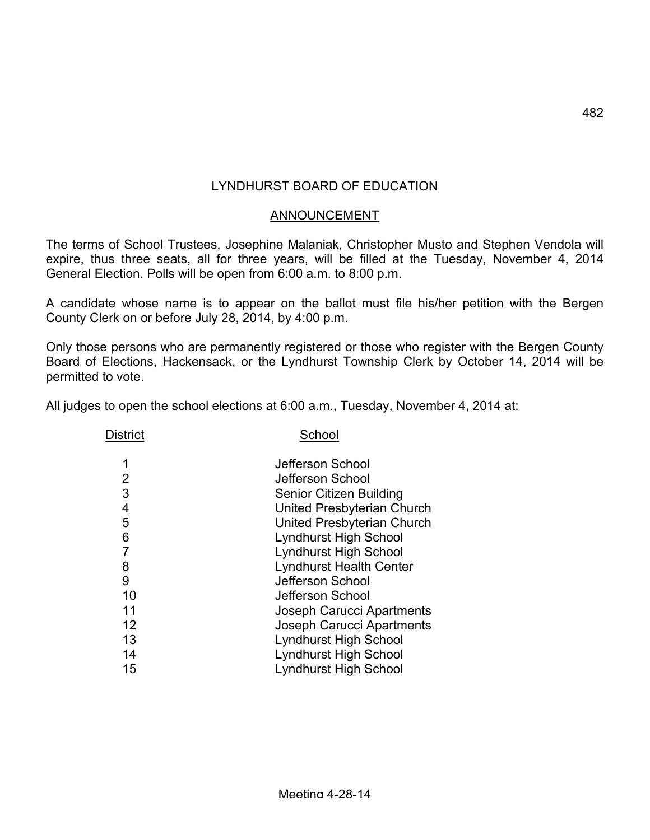# LYNDHURST BOARD OF EDUCATION

### ANNOUNCEMENT

The terms of School Trustees, Josephine Malaniak, Christopher Musto and Stephen Vendola will expire, thus three seats, all for three years, will be filled at the Tuesday, November 4, 2014 General Election. Polls will be open from 6:00 a.m. to 8:00 p.m.

A candidate whose name is to appear on the ballot must file his/her petition with the Bergen County Clerk on or before July 28, 2014, by 4:00 p.m.

Only those persons who are permanently registered or those who register with the Bergen County Board of Elections, Hackensack, or the Lyndhurst Township Clerk by October 14, 2014 will be permitted to vote.

All judges to open the school elections at 6:00 a.m., Tuesday, November 4, 2014 at:

District School

|    | Jefferson School                 |
|----|----------------------------------|
| 2  | Jefferson School                 |
| 3  | Senior Citizen Building          |
| 4  | United Presbyterian Church       |
| 5  | United Presbyterian Church       |
| 6  | <b>Lyndhurst High School</b>     |
|    | <b>Lyndhurst High School</b>     |
| 8  | <b>Lyndhurst Health Center</b>   |
| 9  | Jefferson School                 |
| 10 | Jefferson School                 |
| 11 | Joseph Carucci Apartments        |
| 12 | <b>Joseph Carucci Apartments</b> |
| 13 | <b>Lyndhurst High School</b>     |
| 14 | <b>Lyndhurst High School</b>     |
| 15 | <b>Lyndhurst High School</b>     |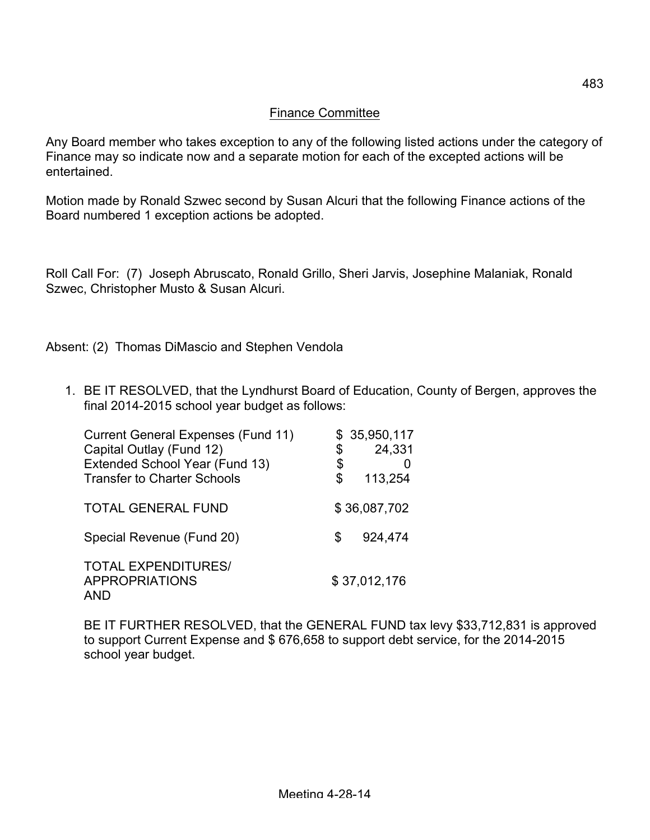### Finance Committee

Any Board member who takes exception to any of the following listed actions under the category of Finance may so indicate now and a separate motion for each of the excepted actions will be entertained.

Motion made by Ronald Szwec second by Susan Alcuri that the following Finance actions of the Board numbered 1 exception actions be adopted.

Roll Call For: (7) Joseph Abruscato, Ronald Grillo, Sheri Jarvis, Josephine Malaniak, Ronald Szwec, Christopher Musto & Susan Alcuri.

Absent: (2) Thomas DiMascio and Stephen Vendola

1. BE IT RESOLVED, that the Lyndhurst Board of Education, County of Bergen, approves the final 2014-2015 school year budget as follows:

| <b>Current General Expenses (Fund 11)</b><br>Capital Outlay (Fund 12)<br>Extended School Year (Fund 13)<br><b>Transfer to Charter Schools</b> | \$<br>\$<br>\$ | \$35,950,117<br>24,331<br>113,254 |
|-----------------------------------------------------------------------------------------------------------------------------------------------|----------------|-----------------------------------|
| <b>TOTAL GENERAL FUND</b>                                                                                                                     |                | \$36,087,702                      |
| Special Revenue (Fund 20)                                                                                                                     | S.             | 924,474                           |
| <b>TOTAL EXPENDITURES/</b><br><b>APPROPRIATIONS</b><br><b>AND</b>                                                                             |                | \$37,012,176                      |

BE IT FURTHER RESOLVED, that the GENERAL FUND tax levy \$33,712,831 is approved to support Current Expense and \$ 676,658 to support debt service, for the 2014-2015 school year budget.